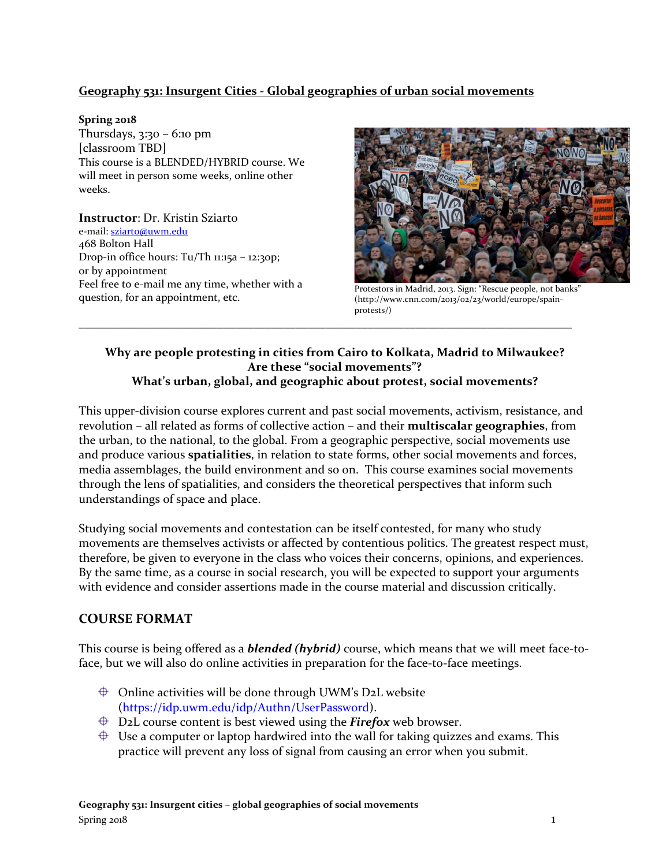### **Geography 531: Insurgent Cities - Global geographies of urban social movements**

#### **Spring 2018**

Thursdays, 3:30 – 6:10 pm [classroom TBD] This course is a BLENDED/HYBRID course. We will meet in person some weeks, online other weeks.

**Instructor**: Dr. Kristin Sziarto e-mail[: sziarto@uwm.edu](mailto:sziarto@uwm.edu) 468 Bolton Hall Drop-in office hours: Tu/Th 11:15a – 12:30p; or by appointment Feel free to e-mail me any time, whether with a reef free to e-filall file any thile, whether with a<br>question, for an appointment, etc.  $\frac{\text{Protestors in Madrid, 2013. Sign: "Rescue people, not banks"}}{\text{(http://www.cnn.com/2012/02/22/world/euron/cmain-}}$ 



(http://www.cnn.com/2013/02/23/world/europe/spainprotests/)

### **Why are people protesting in cities from Cairo to Kolkata, Madrid to Milwaukee? Are these "social movements"? What's urban, global, and geographic about protest, social movements?**

\_\_\_\_\_\_\_\_\_\_\_\_\_\_\_\_\_\_\_\_\_\_\_\_\_\_\_\_\_\_\_\_\_\_\_\_\_\_\_\_\_\_\_\_\_\_\_\_\_\_\_\_\_\_\_\_\_\_\_\_\_\_\_\_\_\_\_\_\_\_\_\_\_\_\_\_\_\_\_\_\_\_

This upper-division course explores current and past social movements, activism, resistance, and revolution – all related as forms of collective action – and their **multiscalar geographies**, from the urban, to the national, to the global. From a geographic perspective, social movements use and produce various **spatialities**, in relation to state forms, other social movements and forces, media assemblages, the build environment and so on. This course examines social movements through the lens of spatialities, and considers the theoretical perspectives that inform such understandings of space and place.

Studying social movements and contestation can be itself contested, for many who study movements are themselves activists or affected by contentious politics. The greatest respect must, therefore, be given to everyone in the class who voices their concerns, opinions, and experiences. By the same time, as a course in social research, you will be expected to support your arguments with evidence and consider assertions made in the course material and discussion critically.

### **COURSE FORMAT**

This course is being offered as a *blended (hybrid)* course, which means that we will meet face-toface, but we will also do online activities in preparation for the face-to-face meetings.

- $\oplus$  Online activities will be done through UWM's D2L website (https://idp.uwm.edu/idp/Authn/UserPassword).
- D2L course content is best viewed using the *Firefox* web browser.
- $\oplus$  Use a computer or laptop hardwired into the wall for taking quizzes and exams. This practice will prevent any loss of signal from causing an error when you submit.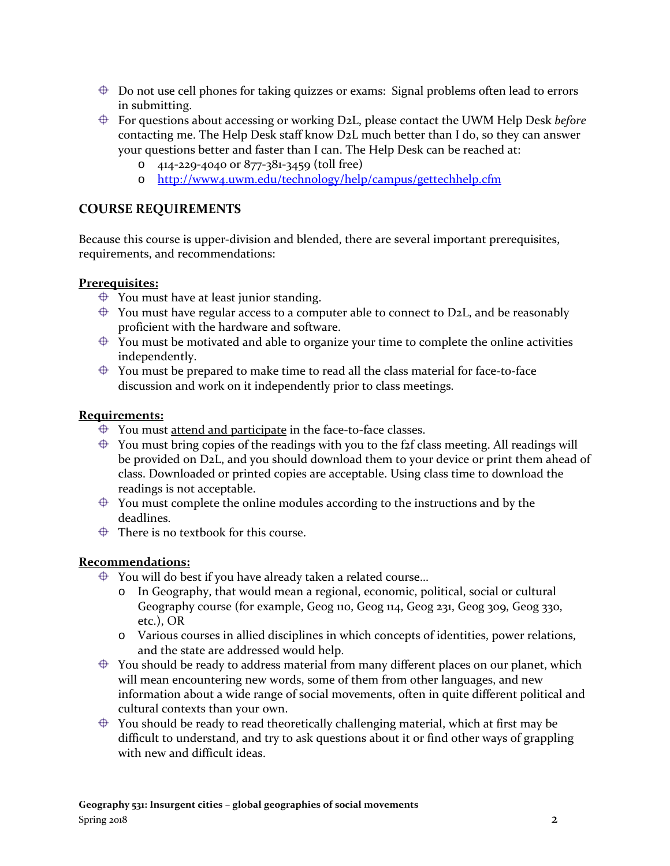- $\oplus$  Do not use cell phones for taking quizzes or exams: Signal problems often lead to errors in submitting.
- For questions about accessing or working D2L, please contact the UWM Help Desk *before* contacting me. The Help Desk staff know D2L much better than I do, so they can answer your questions better and faster than I can. The Help Desk can be reached at:
	- o 414-229-4040 or 877-381-3459 (toll free)
	- o <http://www4.uwm.edu/technology/help/campus/gettechhelp.cfm>

# **COURSE REQUIREMENTS**

Because this course is upper-division and blended, there are several important prerequisites, requirements, and recommendations:

#### **Prerequisites:**

- $\bigoplus$  You must have at least junior standing.
- $\oplus$  You must have regular access to a computer able to connect to D2L, and be reasonably proficient with the hardware and software.
- $\overrightarrow{P}$  You must be motivated and able to organize your time to complete the online activities independently.
- $\oplus$  You must be prepared to make time to read all the class material for face-to-face discussion and work on it independently prior to class meetings.

#### **Requirements:**

- $\bigoplus$  You must attend and participate in the face-to-face classes.
- $\oplus$  You must bring copies of the readings with you to the f2f class meeting. All readings will be provided on D2L, and you should download them to your device or print them ahead of class. Downloaded or printed copies are acceptable. Using class time to download the readings is not acceptable.
- $\triangleq$  You must complete the online modules according to the instructions and by the deadlines.
- $\bigoplus$  There is no textbook for this course.

#### **Recommendations:**

- $\bigoplus$  You will do best if you have already taken a related course...
	- o In Geography, that would mean a regional, economic, political, social or cultural Geography course (for example, Geog 110, Geog 114, Geog 231, Geog 309, Geog 330, etc.), OR
	- o Various courses in allied disciplines in which concepts of identities, power relations, and the state are addressed would help.
- $\oplus$  You should be ready to address material from many different places on our planet, which will mean encountering new words, some of them from other languages, and new information about a wide range of social movements, often in quite different political and cultural contexts than your own.
- $\oplus$  You should be ready to read theoretically challenging material, which at first may be difficult to understand, and try to ask questions about it or find other ways of grappling with new and difficult ideas.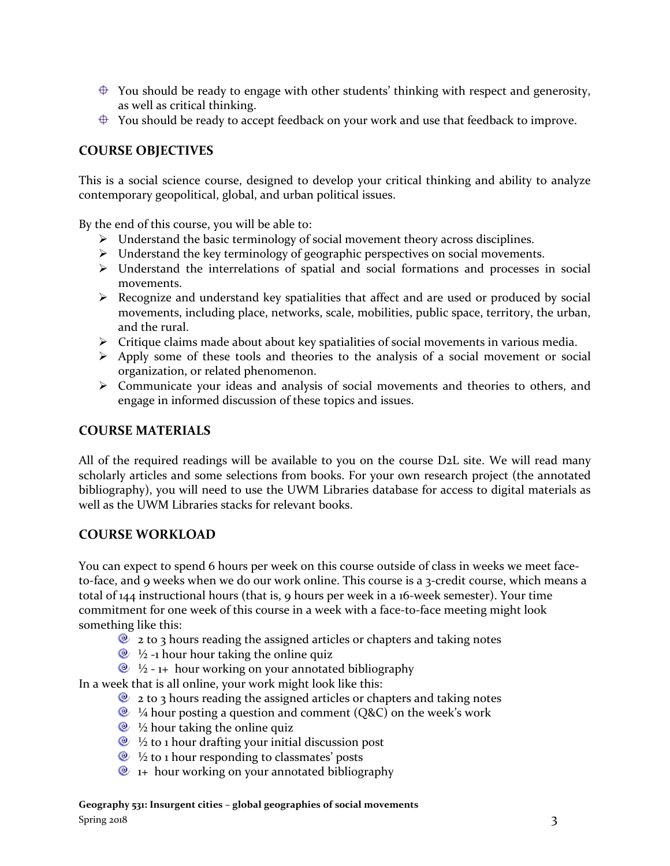- $\oplus$  You should be ready to engage with other students' thinking with respect and generosity, as well as critical thinking.
- $\triangleq$  You should be ready to accept feedback on your work and use that feedback to improve.

# **COURSE OBJECTIVES**

This is a social science course, designed to develop your critical thinking and ability to analyze contemporary geopolitical, global, and urban political issues.

By the end of this course, you will be able to:

- Understand the basic terminology of social movement theory across disciplines.
- $\triangleright$  Understand the key terminology of geographic perspectives on social movements.
- Understand the interrelations of spatial and social formations and processes in social movements.
- $\triangleright$  Recognize and understand key spatialities that affect and are used or produced by social movements, including place, networks, scale, mobilities, public space, territory, the urban, and the rural.
- $\triangleright$  Critique claims made about about key spatialities of social movements in various media.
- $\triangleright$  Apply some of these tools and theories to the analysis of a social movement or social organization, or related phenomenon.
- Communicate your ideas and analysis of social movements and theories to others, and engage in informed discussion of these topics and issues.

#### **COURSE MATERIALS**

All of the required readings will be available to you on the course D2L site. We will read many scholarly articles and some selections from books. For your own research project (the annotated bibliography), you will need to use the UWM Libraries database for access to digital materials as well as the UWM Libraries stacks for relevant books.

#### **COURSE WORKLOAD**

You can expect to spend 6 hours per week on this course outside of class in weeks we meet faceto-face, and 9 weeks when we do our work online. This course is a 3-credit course, which means a total of 144 instructional hours (that is, 9 hours per week in a 16-week semester). Your time commitment for one week of this course in a week with a face-to-face meeting might look something like this:

- $\bullet$  2 to 3 hours reading the assigned articles or chapters and taking notes
- $\bullet\$  ½ -1 hour hour taking the online quiz
- $\&$  ½ 1+ hour working on your annotated bibliography

In a week that is all online, your work might look like this:

- $\bullet$  2 to 3 hours reading the assigned articles or chapters and taking notes
- $\bullet$  <sup>1</sup>/<sub>4</sub> hour posting a question and comment (Q&C) on the week's work
- $\bullet\$  ½ hour taking the online quize
- $\&$  ½ to 1 hour drafting your initial discussion post
- $\bullet\;$  ½ to 1 hour responding to classmates' posts
- $\bullet$  1+ hour working on your annotated bibliography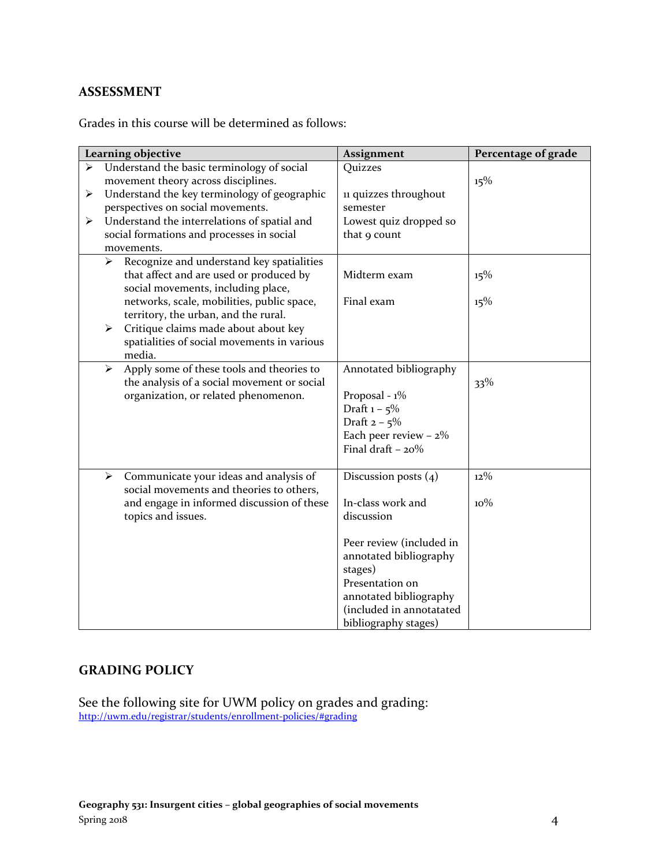### **ASSESSMENT**

Grades in this course will be determined as follows:

|   |   | Learning objective                                                                                                                                     | Assignment                                                                                                                         | Percentage of grade |
|---|---|--------------------------------------------------------------------------------------------------------------------------------------------------------|------------------------------------------------------------------------------------------------------------------------------------|---------------------|
| ➤ |   | Understand the basic terminology of social<br>movement theory across disciplines.                                                                      | Quizzes                                                                                                                            | 15%                 |
| ➤ |   | Understand the key terminology of geographic<br>perspectives on social movements.                                                                      | 11 quizzes throughout<br>semester                                                                                                  |                     |
| ➤ |   | Understand the interrelations of spatial and<br>social formations and processes in social<br>movements.                                                | Lowest quiz dropped so<br>that 9 count                                                                                             |                     |
|   | ➤ | Recognize and understand key spatialities<br>that affect and are used or produced by<br>social movements, including place,                             | Midterm exam                                                                                                                       | 15%                 |
|   | ➤ | networks, scale, mobilities, public space,<br>territory, the urban, and the rural.<br>Critique claims made about about key                             | Final exam                                                                                                                         | 15%                 |
|   |   | spatialities of social movements in various<br>media.                                                                                                  |                                                                                                                                    |                     |
|   | ➤ | Apply some of these tools and theories to<br>the analysis of a social movement or social<br>organization, or related phenomenon.                       | Annotated bibliography<br>Proposal - 1%<br>Draft $1 - 5\%$<br>Draft $2 - 5%$<br>Each peer review $-2\%$<br>Final draft $-20%$      | $33\%$              |
|   | ➤ | Communicate your ideas and analysis of<br>social movements and theories to others,<br>and engage in informed discussion of these<br>topics and issues. | Discussion posts $(4)$<br>In-class work and<br>discussion<br>Peer review (included in                                              | $12\%$<br>$10\%$    |
|   |   |                                                                                                                                                        | annotated bibliography<br>stages)<br>Presentation on<br>annotated bibliography<br>(included in annotatated<br>bibliography stages) |                     |

# **GRADING POLICY**

See the following site for UWM policy on grades and grading: <http://uwm.edu/registrar/students/enrollment-policies/#grading>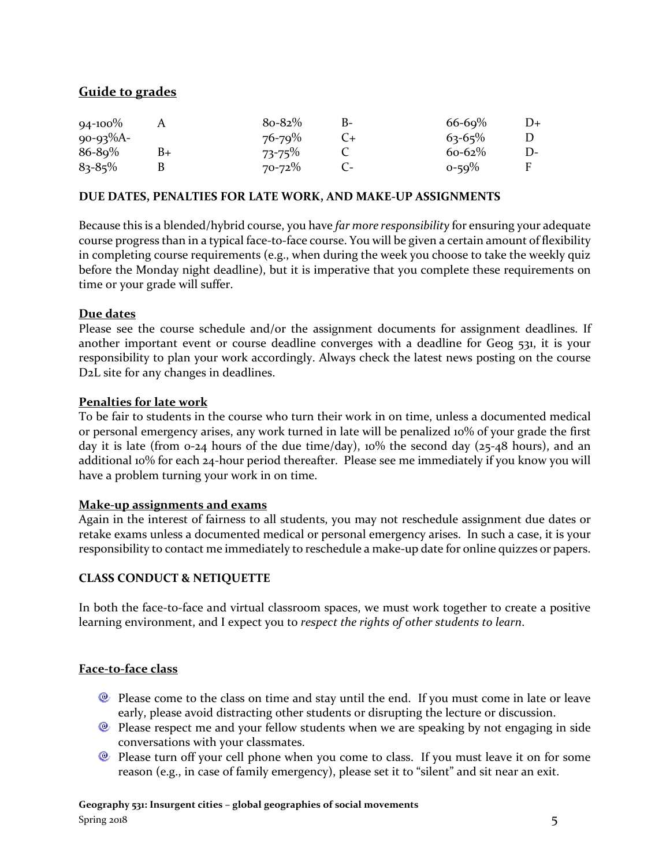# **Guide to grades**

| $94 - 100\%$   |    | $8o-82%$    | B- | $66 - 69%$  | D+ |
|----------------|----|-------------|----|-------------|----|
| $90 - 93\%$ A- |    | $76 - 79\%$ |    | $63 - 65\%$ |    |
| $86 - 89%$     | B+ | $73 - 75\%$ |    | $60 - 62\%$ |    |
| $83 - 85\%$    |    | $70 - 72\%$ |    | $0 - 59\%$  | F  |

#### **DUE DATES, PENALTIES FOR LATE WORK, AND MAKE-UP ASSIGNMENTS**

Because this is a blended/hybrid course, you have *far more responsibility* for ensuring your adequate course progress than in a typical face-to-face course. You will be given a certain amount of flexibility in completing course requirements (e.g., when during the week you choose to take the weekly quiz before the Monday night deadline), but it is imperative that you complete these requirements on time or your grade will suffer.

#### **Due dates**

Please see the course schedule and/or the assignment documents for assignment deadlines. If another important event or course deadline converges with a deadline for Geog 531, it is your responsibility to plan your work accordingly. Always check the latest news posting on the course D2L site for any changes in deadlines.

#### **Penalties for late work**

To be fair to students in the course who turn their work in on time, unless a documented medical or personal emergency arises, any work turned in late will be penalized 10% of your grade the first day it is late (from 0-24 hours of the due time/day), 10% the second day (25-48 hours), and an additional 10% for each 24-hour period thereafter. Please see me immediately if you know you will have a problem turning your work in on time.

#### **Make-up assignments and exams**

Again in the interest of fairness to all students, you may not reschedule assignment due dates or retake exams unless a documented medical or personal emergency arises. In such a case, it is your responsibility to contact me immediately to reschedule a make-up date for online quizzes or papers.

#### **CLASS CONDUCT & NETIQUETTE**

In both the face-to-face and virtual classroom spaces, we must work together to create a positive learning environment, and I expect you to *respect the rights of other students to learn*.

#### **Face-to-face class**

- Please come to the class on time and stay until the end. If you must come in late or leave early, please avoid distracting other students or disrupting the lecture or discussion.
- **Please respect me and your fellow students when we are speaking by not engaging in side** conversations with your classmates.
- <sup>®</sup> Please turn off your cell phone when you come to class. If you must leave it on for some reason (e.g., in case of family emergency), please set it to "silent" and sit near an exit.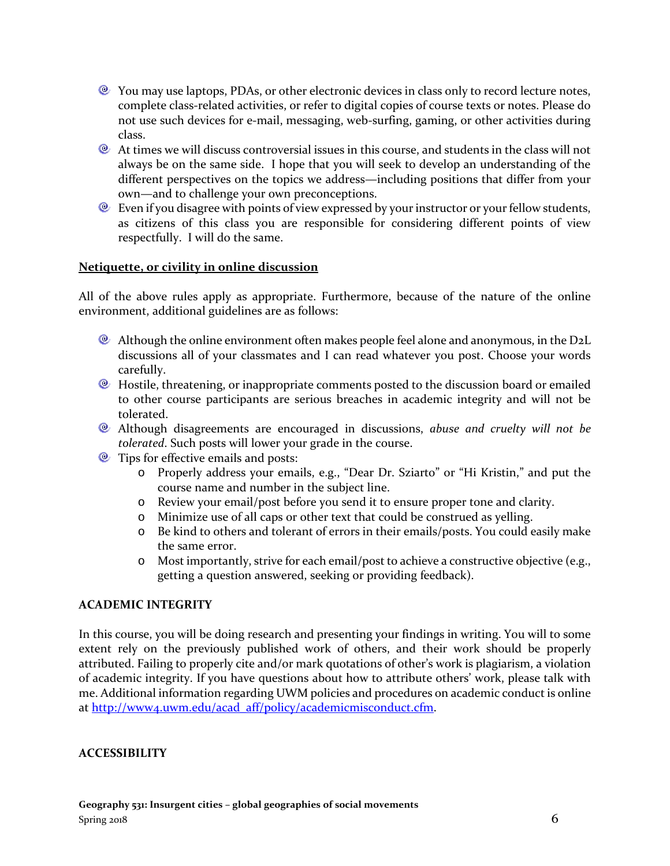- You may use laptops, PDAs, or other electronic devices in class only to record lecture notes, complete class-related activities, or refer to digital copies of course texts or notes. Please do not use such devices for e-mail, messaging, web-surfing, gaming, or other activities during class.
- At times we will discuss controversial issues in this course, and students in the class will not always be on the same side. I hope that you will seek to develop an understanding of the different perspectives on the topics we address—including positions that differ from your own—and to challenge your own preconceptions.
- **Even if you disagree with points of view expressed by your instructor or your fellow students,** as citizens of this class you are responsible for considering different points of view respectfully. I will do the same.

#### **Netiquette, or civility in online discussion**

All of the above rules apply as appropriate. Furthermore, because of the nature of the online environment, additional guidelines are as follows:

- Although the online environment often makes people feel alone and anonymous, in the D2L discussions all of your classmates and I can read whatever you post. Choose your words carefully.
- <sup>®</sup> Hostile, threatening, or inappropriate comments posted to the discussion board or emailed to other course participants are serious breaches in academic integrity and will not be tolerated.
- Although disagreements are encouraged in discussions, *abuse and cruelty will not be tolerated*. Such posts will lower your grade in the course.
- $\bullet$  Tips for effective emails and posts:
	- o Properly address your emails, e.g., "Dear Dr. Sziarto" or "Hi Kristin," and put the course name and number in the subject line.
	- o Review your email/post before you send it to ensure proper tone and clarity.
	- o Minimize use of all caps or other text that could be construed as yelling.
	- o Be kind to others and tolerant of errors in their emails/posts. You could easily make the same error.
	- o Most importantly, strive for each email/post to achieve a constructive objective (e.g., getting a question answered, seeking or providing feedback).

### **ACADEMIC INTEGRITY**

In this course, you will be doing research and presenting your findings in writing. You will to some extent rely on the previously published work of others, and their work should be properly attributed. Failing to properly cite and/or mark quotations of other's work is plagiarism, a violation of academic integrity. If you have questions about how to attribute others' work, please talk with me. Additional information regarding UWM policies and procedures on academic conduct is online at [http://www4.uwm.edu/acad\\_aff/policy/academicmisconduct.cfm.](http://www4.uwm.edu/acad_aff/policy/academicmisconduct.cfm)

#### **ACCESSIBILITY**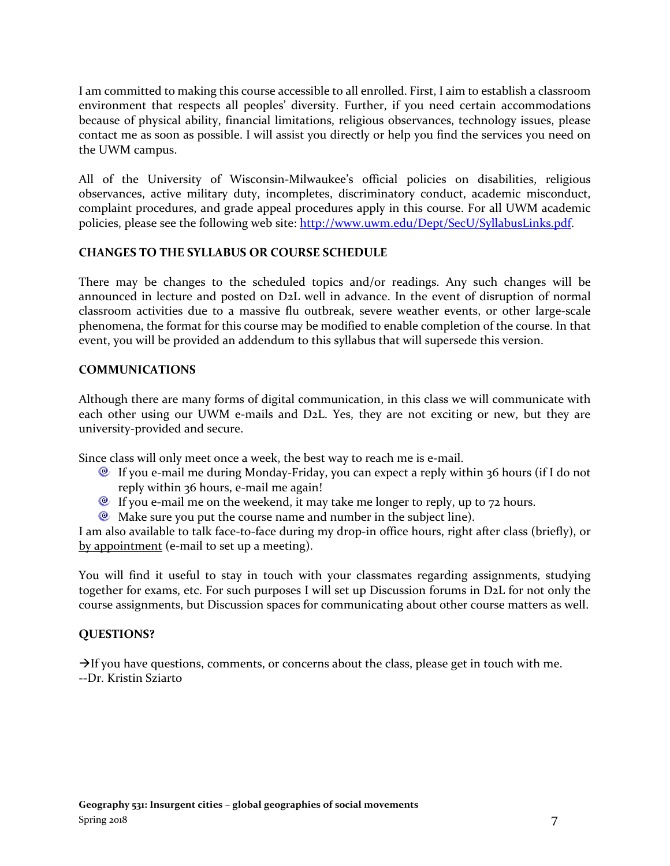I am committed to making this course accessible to all enrolled. First, I aim to establish a classroom environment that respects all peoples' diversity. Further, if you need certain accommodations because of physical ability, financial limitations, religious observances, technology issues, please contact me as soon as possible. I will assist you directly or help you find the services you need on the UWM campus.

All of the University of Wisconsin-Milwaukee's official policies on disabilities, religious observances, active military duty, incompletes, discriminatory conduct, academic misconduct, complaint procedures, and grade appeal procedures apply in this course. For all UWM academic policies, please see the following web site: [http://www.uwm.edu/Dept/SecU/SyllabusLinks.pdf.](http://www.uwm.edu/Dept/SecU/SyllabusLinks.pdf)

#### **CHANGES TO THE SYLLABUS OR COURSE SCHEDULE**

There may be changes to the scheduled topics and/or readings. Any such changes will be announced in lecture and posted on D2L well in advance. In the event of disruption of normal classroom activities due to a massive flu outbreak, severe weather events, or other large-scale phenomena, the format for this course may be modified to enable completion of the course. In that event, you will be provided an addendum to this syllabus that will supersede this version.

#### **COMMUNICATIONS**

Although there are many forms of digital communication, in this class we will communicate with each other using our UWM e-mails and D2L. Yes, they are not exciting or new, but they are university-provided and secure.

Since class will only meet once a week, the best way to reach me is e-mail.

- If you e-mail me during Monday-Friday, you can expect a reply within 36 hours (if I do not reply within 36 hours, e-mail me again!
- $\bullet$  If you e-mail me on the weekend, it may take me longer to reply, up to 72 hours.
- $\bullet$  Make sure you put the course name and number in the subject line).

I am also available to talk face-to-face during my drop-in office hours, right after class (briefly), or by appointment (e-mail to set up a meeting).

You will find it useful to stay in touch with your classmates regarding assignments, studying together for exams, etc. For such purposes I will set up Discussion forums in D2L for not only the course assignments, but Discussion spaces for communicating about other course matters as well.

#### **QUESTIONS?**

 $\rightarrow$  If you have questions, comments, or concerns about the class, please get in touch with me. --Dr. Kristin Sziarto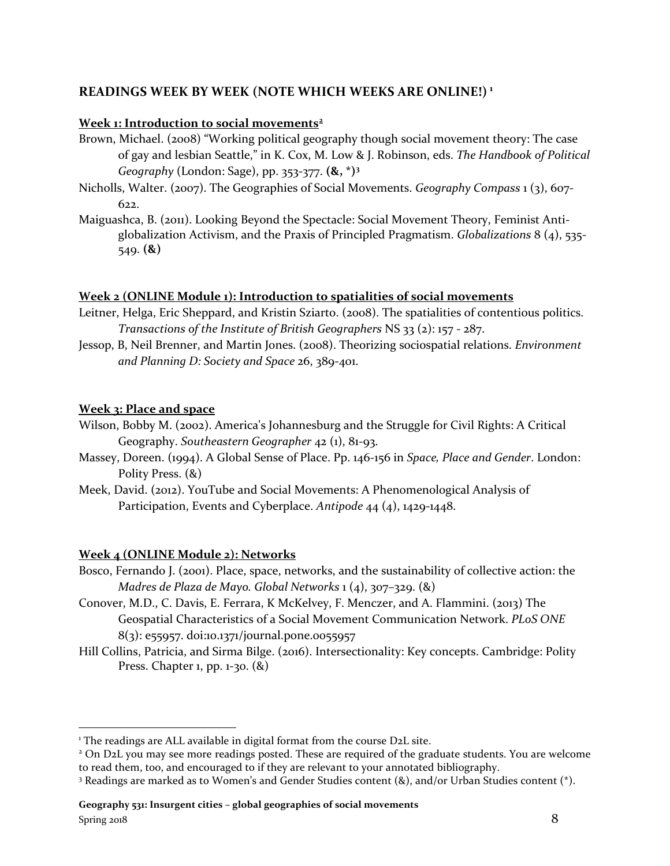# **READINGS WEEK BY WEEK (NOTE WHICH WEEKS ARE ONLINE!) [1](#page-7-0)**

#### **Week 1: Introduction to social movements[2](#page-7-1)**

- Brown, Michael. (2008) "Working political geography though social movement theory: The case of gay and lesbian Seattle," in K. Cox, M. Low & J. Robinson, eds. *The Handbook of Political Geography* (London: Sage), pp. 353-377. **(&, \*)[3](#page-7-2)**
- Nicholls, Walter. (2007). The Geographies of Social Movements. *Geography Compass* 1 (3), 607- 622.
- Maiguashca, B. (2011). Looking Beyond the Spectacle: Social Movement Theory, Feminist Antiglobalization Activism, and the Praxis of Principled Pragmatism. *Globalizations* 8 (4), 535- 549. **(&)**

#### **Week 2 (ONLINE Module 1): Introduction to spatialities of social movements**

- Leitner, Helga, Eric Sheppard, and Kristin Sziarto. (2008). The spatialities of contentious politics. *Transactions of the Institute of British Geographers* NS 33 (2): 157 - 287.
- Jessop, B, Neil Brenner, and Martin Jones. (2008). Theorizing sociospatial relations. *Environment and Planning D: Society and Space* 26, 389-401.

#### **Week 3: Place and space**

- Wilson, Bobby M. (2002). America's Johannesburg and the Struggle for Civil Rights: A Critical Geography. *Southeastern Geographer* 42 (1), 81-93.
- Massey, Doreen. (1994). A Global Sense of Place. Pp. 146-156 in *Space, Place and Gender*. London: Polity Press. (&)
- Meek, David. (2012). YouTube and Social Movements: A Phenomenological Analysis of Participation, Events and Cyberplace. *Antipode* 44 (4), 1429-1448.

#### **Week 4 (ONLINE Module 2): Networks**

- Bosco, Fernando J. (2001). Place, space, networks, and the sustainability of collective action: the *Madres de Plaza de Mayo. Global Networks* 1 (4), 307–329. (&)
- Conover, M.D., C. Davis, E. Ferrara, K McKelvey, F. Menczer, and A. Flammini. (2013) The Geospatial Characteristics of a Social Movement Communication Network. *PLoS ONE* 8(3): e55957. doi:10.1371/journal.pone.0055957
- Hill Collins, Patricia, and Sirma Bilge. (2016). Intersectionality: Key concepts. Cambridge: Polity Press. Chapter 1, pp. 1-30. (&)

<span id="page-7-0"></span><sup>&</sup>lt;sup>1</sup> The readings are ALL available in digital format from the course D2L site.

<span id="page-7-1"></span><sup>2</sup> On D2L you may see more readings posted. These are required of the graduate students. You are welcome to read them, too, and encouraged to if they are relevant to your annotated bibliography.

<span id="page-7-2"></span><sup>3</sup> Readings are marked as to Women's and Gender Studies content (&), and/or Urban Studies content (\*).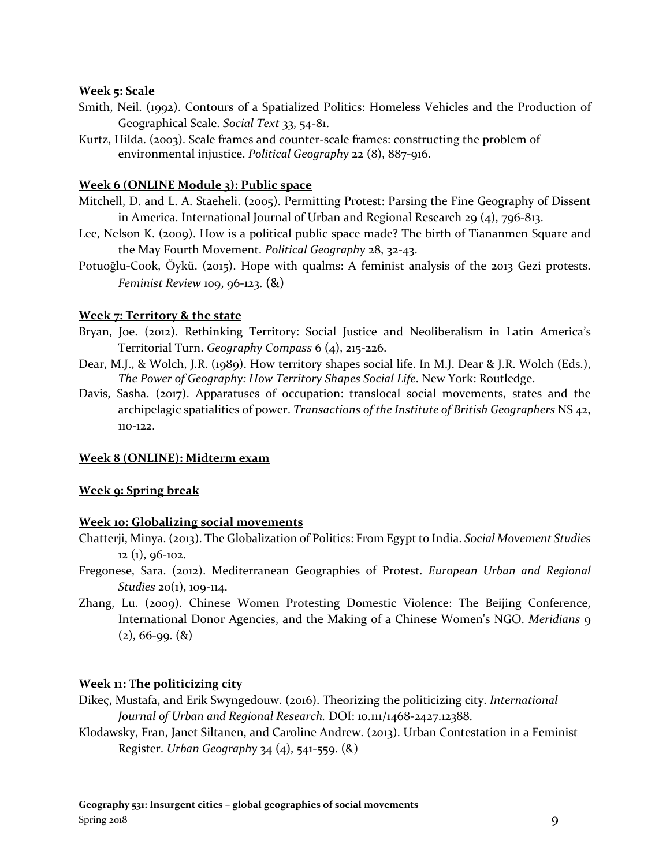#### **Week 5: Scale**

- Smith, Neil. (1992). Contours of a Spatialized Politics: Homeless Vehicles and the Production of Geographical Scale. *Social Text* 33, 54-81.
- Kurtz, Hilda. (2003). Scale frames and counter-scale frames: constructing the problem of environmental injustice. *Political Geography* 22 (8), 887-916.

#### **Week 6 (ONLINE Module 3): Public space**

- Mitchell, D. and L. A. Staeheli. (2005). Permitting Protest: Parsing the Fine Geography of Dissent in America. International Journal of Urban and Regional Research 29 (4), 796-813.
- Lee, Nelson K. (2009). How is a political public space made? The birth of Tiananmen Square and the May Fourth Movement. *Political Geography* 28, 32-43.
- Potuoǧlu-Cook, Öykü. (2015). Hope with qualms: A feminist analysis of the 2013 Gezi protests. *Feminist Review* 109, 96-123. (&)

#### **Week 7: Territory & the state**

- Bryan, Joe. (2012). Rethinking Territory: Social Justice and Neoliberalism in Latin America's Territorial Turn. *Geography Compass* 6 (4), 215-226.
- Dear, M.J., & Wolch, J.R. (1989). How territory shapes social life. In M.J. Dear & J.R. Wolch (Eds.), *The Power of Geography: How Territory Shapes Social Life*. New York: Routledge.
- Davis, Sasha. (2017). Apparatuses of occupation: translocal social movements, states and the archipelagic spatialities of power. *Transactions of the Institute of British Geographers* NS 42, 110-122.

#### **Week 8 (ONLINE): Midterm exam**

#### **Week 9: Spring break**

#### **Week 10: Globalizing social movements**

- Chatterji, Minya. (2013). The Globalization of Politics: From Egypt to India. *Social Movement Studies*  $12$  (1), 96-102.
- Fregonese, Sara. (2012). Mediterranean Geographies of Protest. *European Urban and Regional Studies* 20(1), 109-114.
- Zhang, Lu. (2009). Chinese Women Protesting Domestic Violence: The Beijing Conference, International Donor Agencies, and the Making of a Chinese Women's NGO. *Meridians* 9  $(2), 66$ -99.  $(8)$

### **Week 11: The politicizing city**

- Dikeς, Mustafa, and Erik Swyngedouw. (2016). Theorizing the politicizing city. *International Journal of Urban and Regional Research.* DOI: 10.111/1468-2427.12388.
- Klodawsky, Fran, Janet Siltanen, and Caroline Andrew. (2013). Urban Contestation in a Feminist Register. *Urban Geography* 34 (4), 541-559. (&)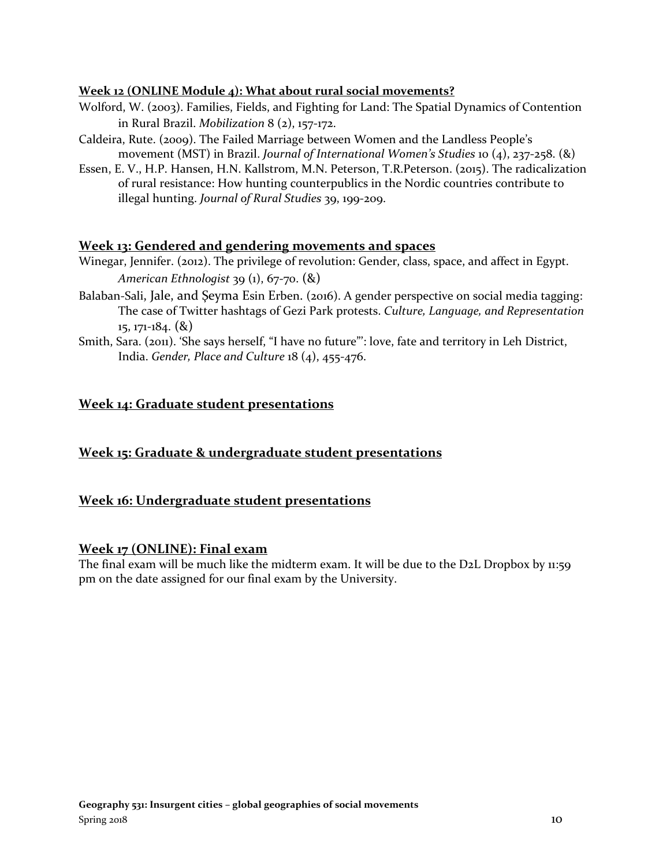#### **Week 12 (ONLINE Module 4): What about rural social movements?**

- Wolford, W. (2003). Families, Fields, and Fighting for Land: The Spatial Dynamics of Contention in Rural Brazil. *Mobilization* 8 (2), 157-172.
- Caldeira, Rute. (2009). The Failed Marriage between Women and the Landless People's movement (MST) in Brazil. *Journal of International Women's Studies* 10 (4), 237-258. (&)
- Essen, E. V., H.P. Hansen, H.N. Kallstrom, M.N. Peterson, T.R.Peterson. (2015). The radicalization of rural resistance: How hunting counterpublics in the Nordic countries contribute to illegal hunting. *Journal of Rural Studies* 39, 199-209.

### **Week 13: Gendered and gendering movements and spaces**

- Winegar, Jennifer. (2012). The privilege of revolution: Gender, class, space, and affect in Egypt. *American Ethnologist* 39 (1), 67-70. (&)
- Balaban-Sali, Jale, and Şeyma Esin Erben. (2016). A gender perspective on social media tagging: The case of Twitter hashtags of Gezi Park protests. *Culture, Language, and Representation* 15, 171-184. (&)
- Smith, Sara. (2011). 'She says herself, "I have no future"': love, fate and territory in Leh District, India. *Gender, Place and Culture* 18 (4), 455-476.

# **Week 14: Graduate student presentations**

### **Week 15: Graduate & undergraduate student presentations**

### **Week 16: Undergraduate student presentations**

#### **Week 17 (ONLINE): Final exam**

The final exam will be much like the midterm exam. It will be due to the D2L Dropbox by 11:59 pm on the date assigned for our final exam by the University.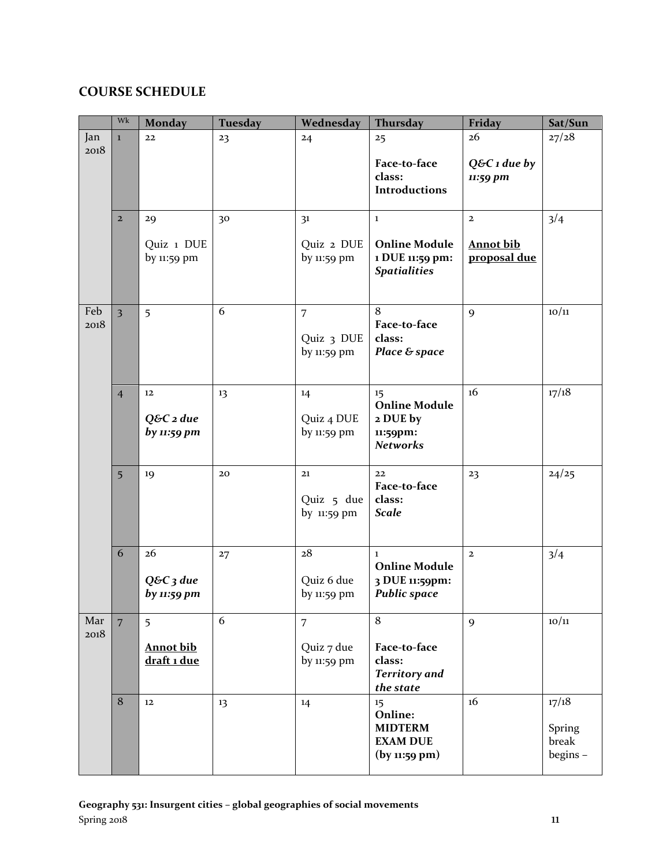# **COURSE SCHEDULE**

|      | Wk                      | <b>Monday</b>              | <b>Tuesday</b> | Wednesday                   | <b>Thursday</b>                   | Friday                | Sat/Sun |
|------|-------------------------|----------------------------|----------------|-----------------------------|-----------------------------------|-----------------------|---------|
| Jan  | $\mathbf{1}$            | 22                         | 23             | 24                          | 25                                | 26                    | 27/28   |
| 2018 |                         |                            |                |                             | Face-to-face                      | $Q&C$ <i>i</i> due by |         |
|      |                         |                            |                |                             | class:                            | 11:59 pm              |         |
|      |                         |                            |                |                             | <b>Introductions</b>              |                       |         |
|      | $\overline{2}$          | 29                         | 30             | 3 <sup>1</sup>              | $\mathbf 1$                       | $\overline{2}$        | 3/4     |
|      |                         | Quiz 1 DUE                 |                | Quiz 2 DUE                  | <b>Online Module</b>              | <b>Annot bib</b>      |         |
|      |                         | by 11:59 pm                |                | by 11:59 pm                 | 1 DUE 11:59 pm:                   | proposal due          |         |
|      |                         |                            |                |                             | <b>Spatialities</b>               |                       |         |
|      |                         |                            |                |                             |                                   |                       |         |
| Feb  | $\overline{\mathbf{3}}$ | 5                          | 6              | $\overline{7}$              | 8                                 | 9                     | 10/11   |
| 2018 |                         |                            |                | Quiz 3 DUE                  | Face-to-face<br>class:            |                       |         |
|      |                         |                            |                | by 11:59 pm                 | Place & space                     |                       |         |
|      |                         |                            |                |                             |                                   |                       |         |
|      | $\overline{4}$          | 12                         | 13             | 14                          | 15                                | 16                    | 17/18   |
|      |                         |                            |                |                             | <b>Online Module</b>              |                       |         |
|      |                         | $Q&C$ 2 due<br>by 11:59 pm |                | Quiz 4 DUE<br>by $11:59$ pm | 2 DUE by<br>11:59pm:              |                       |         |
|      |                         |                            |                |                             | <b>Networks</b>                   |                       |         |
|      | 5                       | 19                         | 20             | 21                          | 22                                | 23                    | 24/25   |
|      |                         |                            |                |                             | Face-to-face                      |                       |         |
|      |                         |                            |                | Quiz 5 due<br>by 11:59 pm   | class:<br><b>Scale</b>            |                       |         |
|      |                         |                            |                |                             |                                   |                       |         |
|      | 6                       | 26                         | 27             | 28                          | $\mathbf{1}$                      | $\mathbf{2}$          | 3/4     |
|      |                         |                            |                |                             | <b>Online Module</b>              |                       |         |
|      |                         | $Q&C3$ due                 |                | Quiz 6 due                  | 3 DUE 11:59pm:                    |                       |         |
|      |                         | by 11:59 pm                |                | by $11:59$ pm               | <b>Public space</b>               |                       |         |
| Mar  | $\overline{7}$          | 5                          | 6              | $\overline{7}$              | 8                                 | 9                     | 10/11   |
| 2018 |                         | <b>Annot bib</b>           |                | Quiz 7 due                  | Face-to-face                      |                       |         |
|      |                         | draft 1 due                |                | by 11:59 pm                 | class:                            |                       |         |
|      |                         |                            |                |                             | <b>Territory</b> and<br>the state |                       |         |
|      | 8                       | 12                         | 13             | 14                          | 15                                | 16                    | 17/18   |
|      |                         |                            |                |                             | Online:<br><b>MIDTERM</b>         |                       | Spring  |
|      |                         |                            |                |                             | <b>EXAM DUE</b>                   |                       | break   |
|      |                         |                            |                |                             | (by 11:59 pm)                     |                       | begins- |
|      |                         |                            |                |                             |                                   |                       |         |